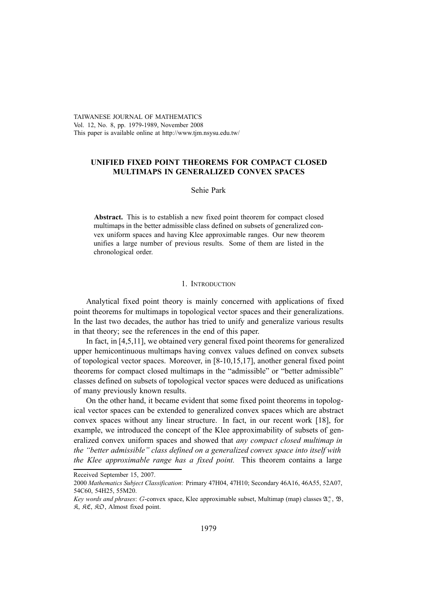TAIWANESE JOURNAL OF MATHEMATICS Vol. 12, No. 8, pp. 1979-1989, November 2008 This paper is available online at http://www.tjm.nsysu.edu.tw/

# **UNIFIED FIXED POINT THEOREMS FOR COMPACT CLOSED MULTIMAPS IN GENERALIZED CONVEX SPACES**

## Sehie Park

**Abstract.** This is to establish a new fixed point theorem for compact closed multimaps in the better admissible class defined on subsets of generalized convex uniform spaces and having Klee approximable ranges. Our new theorem unifies a large number of previous results. Some of them are listed in the chronological order.

# 1. INTRODUCTION

Analytical fixed point theory is mainly concerned with applications of fixed point theorems for multimaps in topological vector spaces and their generalizations. In the last two decades, the author has tried to unify and generalize various results in that theory; see the references in the end of this paper.

In fact, in [4,5,11], we obtained very general fixed point theorems for generalized upper hemicontinuous multimaps having convex values defined on convex subsets of topological vector spaces. Moreover, in [8-10,15,17], another general fixed point theorems for compact closed multimaps in the "admissible" or "better admissible" classes defined on subsets of topological vector spaces were deduced as unifications of many previously known results.

On the other hand, it became evident that some fixed point theorems in topological vector spaces can be extended to generalized convex spaces which are abstract convex spaces without any linear structure. In fact, in our recent work [18], for example, we introduced the concept of the Klee approximability of subsets of generalized convex uniform spaces and showed that *any compact closed multimap in the "better admissible" class defined on a generalized convex space into itself with the Klee approximable range has a fixed point.* This theorem contains a large

Received September 15, 2007.

<sup>2000</sup> *Mathematics Subject Classification*: Primary 47H04, 47H10; Secondary 46A16, 46A55, 52A07, 54C60, 54H25, 55M20.

*Key words and phrases: G*-convex space, Klee approximable subset, Multimap (map) classes  $\mathfrak{A}_{c}^{\kappa}, \mathfrak{B}_{c}$ ,  $\mathfrak{K}, \mathfrak{K} \mathfrak{C}, \mathfrak{K} \mathfrak{O},$  Almost fixed point.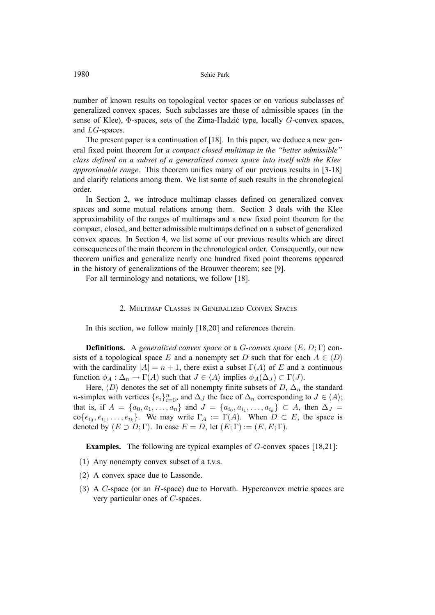number of known results on topological vector spaces or on various subclasses of generalized convex spaces. Such subclasses are those of admissible spaces (in the sense of Klee),  $\Phi$ -spaces, sets of the Zima-Hadzic type, locally  $G$ -convex spaces, and LG-spaces.

The present paper is a continuation of [18]. In this paper, we deduce a new general fixed point theorem for *a compact closed multimap in the "better admissible" class defined on a subset of a generalized convex space into itself with the Klee approximable range.* This theorem unifies many of our previous results in [3-18] and clarify relations among them. We list some of such results in the chronological order.

In Section 2, we introduce multimap classes defined on generalized convex spaces and some mutual relations among them. Section 3 deals with the Klee approximability of the ranges of multimaps and a new fixed point theorem for the compact, closed, and better admissible multimaps defined on a subset of generalized convex spaces. In Section 4, we list some of our previous results which are direct consequences of the main theorem in the chronological order. Consequently, our new theorem unifies and generalize nearly one hundred fixed point theorems appeared in the history of generalizations of the Brouwer theorem; see [9].

For all terminology and notations, we follow [18].

#### 2. MULTIMAP CLASSES IN GENERALIZED CONVEX SPACES

In this section, we follow mainly [18,20] and references therein.

**Definitions.** A *generalized convex space* or a G-*convex space* (E,D; Γ) consists of a topological space E and a nonempty set D such that for each  $A \in \langle D \rangle$ with the cardinality  $|A| = n + 1$ , there exist a subset  $\Gamma(A)$  of E and a continuous function  $\phi_A : \Delta_n \to \Gamma(A)$  such that  $J \in \langle A \rangle$  implies  $\phi_A(\Delta_J) \subset \Gamma(J)$ .

Here,  $\langle D \rangle$  denotes the set of all nonempty finite subsets of D,  $\Delta_n$  the standard *n*-simplex with vertices  $\{e_i\}_{i=0}^n$ , and  $\Delta_J$  the face of  $\Delta_n$  corresponding to  $J \in \langle A \rangle$ ; that is, if  $A = \{a_0, a_1, \ldots, a_n\}$  and  $J = \{a_{i_0}, a_{i_1}, \ldots, a_{i_k}\} \subset A$ , then  $\Delta_J =$  $\text{co}\{e_{i_0}, e_{i_1}, \ldots, e_{i_k}\}.$  We may write  $\Gamma_A := \Gamma(A)$ . When  $D \subset E$ , the space is denoted by  $(E \supset D; \Gamma)$ . In case  $E = D$ , let  $(E; \Gamma) := (E, E; \Gamma)$ .

**Examples.** The following are typical examples of G-convex spaces [18,21]:

- (1) Any nonempty convex subset of a t.v.s.
- (2) A convex space due to Lassonde.
- (3) A C-space (or an  $H$ -space) due to Horvath. Hyperconvex metric spaces are very particular ones of C-spaces.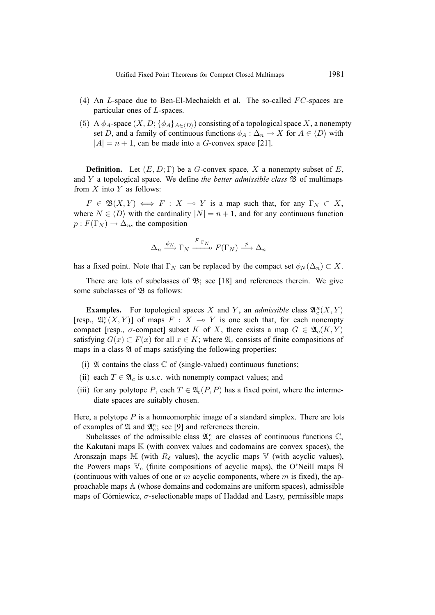- (4) An *L*-space due to Ben-El-Mechaiekh et al. The so-called  $FC$ -spaces are particular ones of L-spaces.
- (5) A  $\phi_A$ -space  $(X, D; {\phi_A}_{A \in \langle D \rangle})$  consisting of a topological space X, a nonempty set D, and a family of continuous functions  $\phi_A : \Delta_n \to X$  for  $A \in \langle D \rangle$  with  $|A| = n + 1$ , can be made into a G-convex space [21].

**Definition.** Let  $(E, D; \Gamma)$  be a G-convex space, X a nonempty subset of E, and Y a topological space. We define *the better admissible class*  $\mathfrak B$  of multimaps from  $X$  into  $Y$  as follows:

 $F \in \mathfrak{B}(X,Y) \iff F : X \multimap Y$  is a map such that, for any  $\Gamma_N \subset X$ , where  $N \in \langle D \rangle$  with the cardinality  $|N| = n + 1$ , and for any continuous function  $p: F(\Gamma_N) \to \Delta_n$ , the composition

$$
\Delta_n \xrightarrow{\phi_N} \Gamma_N \xrightarrow{F|_{\Gamma_N}} F(\Gamma_N) \xrightarrow{p} \Delta_n
$$

has a fixed point. Note that  $\Gamma_N$  can be replaced by the compact set  $\phi_N(\Delta_n) \subset X$ .

There are lots of subclasses of  $\mathfrak{B}$ ; see [18] and references therein. We give some subclasses of  $\mathfrak{B}$  as follows:

**Examples.** For topological spaces X and Y, an *admissible* class  $\mathfrak{A}_{c}^{\kappa}(X, Y)$ [resp.,  $\mathfrak{A}_{c}^{\sigma}(X,Y)$ ] of maps  $F : X \multimap Y$  is one such that, for each nonempty compact [resp.,  $\sigma$ -compact] subset K of X, there exists a map  $G \in \mathfrak{A}_{c}(K,Y)$ satisfying  $G(x) \subset F(x)$  for all  $x \in K$ ; where  $\mathfrak{A}_c$  consists of finite compositions of maps in a class  $\mathfrak A$  of maps satisfying the following properties:

- (i)  $\mathfrak A$  contains the class  $\mathbb C$  of (single-valued) continuous functions;
- (ii) each  $T \in \mathfrak{A}_c$  is u.s.c. with nonempty compact values; and
- (iii) for any polytope P, each  $T \in \mathfrak{A}_c(P, P)$  has a fixed point, where the intermediate spaces are suitably chosen.

Here, a polytope  $P$  is a homeomorphic image of a standard simplex. There are lots of examples of  $\mathfrak A$  and  $\mathfrak A_c^{\kappa}$ ; see [9] and references therein.

Subclasses of the admissible class  $\mathfrak{A}_{c}^{\kappa}$  are classes of continuous functions  $\mathbb{C},$ the Kakutani maps  $K$  (with convex values and codomains are convex spaces), the Aronszajn maps M (with  $R_{\delta}$  values), the acyclic maps V (with acyclic values), the Powers maps  $V_c$  (finite compositions of acyclic maps), the O'Neill maps N (continuous with values of one or  $m$  acyclic components, where  $m$  is fixed), the approachable maps A (whose domains and codomains are uniform spaces), admissible maps of Górniewicz,  $\sigma$ -selectionable maps of Haddad and Lasry, permissible maps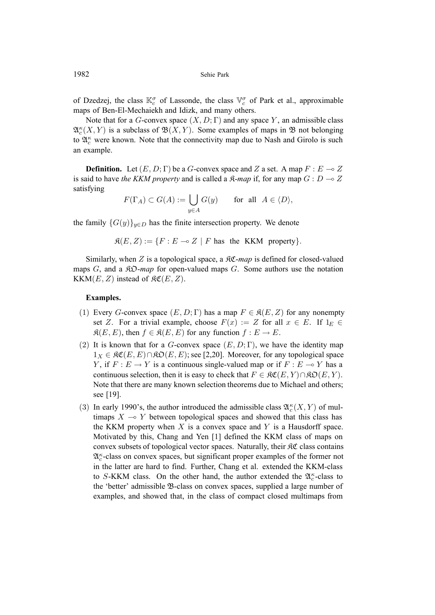of Dzedzej, the class  $\mathbb{K}_{c}^{\sigma}$  of Lassonde, the class  $\mathbb{V}_{c}^{\sigma}$  of Park et al., approximable maps of Ben-El-Mechaiekh and Idizk, and many others.

Note that for a G-convex space  $(X, D; \Gamma)$  and any space Y, an admissible class  $\mathfrak{A}_{c}^{\kappa}(X, Y)$  is a subclass of  $\mathfrak{B}(X, Y)$ . Some examples of maps in  $\mathfrak{B}$  not belonging to  $\mathfrak{A}_{c}^{\kappa}$  were known. Note that the connectivity map due to Nash and Girolo is such an example.

**Definition.** Let  $(E, D; \Gamma)$  be a G-convex space and Z a set. A map  $F: E \to Z$ is said to have *the KKM property* and is called a  $\mathcal{R}$ -*map* if, for any map  $G : D \to Z$ satisfying

$$
F(\Gamma_A) \subset G(A) := \bigcup_{y \in A} G(y) \quad \text{for all } A \in \langle D \rangle,
$$

the family  $\{G(y)\}_{y\in D}$  has the finite intersection property. We denote

 $\mathfrak{K}(E,Z) := \{ F : E \multimap Z \mid F \text{ has the KKM property} \}.$ 

Similarly, when Z is a topological space, a  $\Re\mathfrak{C}$ -map is defined for closed-valued maps G, and a KO-*map* for open-valued maps G. Some authors use the notation KKM( $E, Z$ ) instead of  $\mathcal{RC}(E, Z)$ .

## **Examples.**

- (1) Every G-convex space  $(E, D; \Gamma)$  has a map  $F \in \mathcal{R}(E, Z)$  for any nonempty set Z. For a trivial example, choose  $F(x) := Z$  for all  $x \in E$ . If  $1_E \in$  $\mathcal{R}(E, E)$ , then  $f \in \mathcal{R}(E, E)$  for any function  $f : E \to E$ .
- (2) It is known that for a G-convex space  $(E, D; \Gamma)$ , we have the identity map  $1_X \in \mathcal{RC}(E, E) \cap \mathcal{RD}(E, E)$ ; see [2,20]. Moreover, for any topological space Y, if  $F : E \to Y$  is a continuous single-valued map or if  $F : E \to Y$  has a continuous selection, then it is easy to check that  $F \in \mathcal{RC}(E,Y) \cap \mathcal{RD}(E,Y)$ . Note that there are many known selection theorems due to Michael and others; see [19].
- (3) In early 1990's, the author introduced the admissible class  $\mathfrak{A}_{c}^{\kappa}(X,Y)$  of multimaps  $X \multimap Y$  between topological spaces and showed that this class has the KKM property when  $X$  is a convex space and  $Y$  is a Hausdorff space. Motivated by this, Chang and Yen [1] defined the KKM class of maps on convex subsets of topological vector spaces. Naturally, their KC class contains  $\mathfrak{A}_{c}^{\kappa}$ -class on convex spaces, but significant proper examples of the former not in the latter are hard to find. Further, Chang et al. extended the KKM-class to S-KKM class. On the other hand, the author extended the  $\mathfrak{A}_{c}^{\kappa}$ -class to the 'better' admissible B-class on convex spaces, supplied a large number of examples, and showed that, in the class of compact closed multimaps from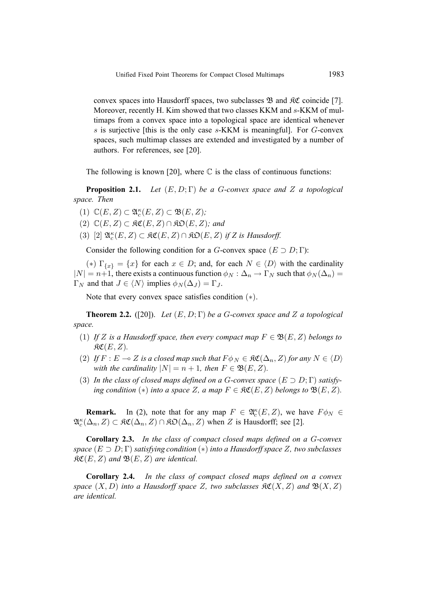convex spaces into Hausdorff spaces, two subclasses  $\mathcal{B}$  and  $\mathcal{RC}$  coincide [7]. Moreover, recently H. Kim showed that two classes KKM and s-KKM of multimaps from a convex space into a topological space are identical whenever s is surjective [this is the only case s-KKM is meaningful]. For G-convex spaces, such multimap classes are extended and investigated by a number of authors. For references, see [20].

The following is known [20], where  $\mathbb C$  is the class of continuous functions:

**Proposition 2.1.** *Let* (E,D; Γ) *be a* G*-convex space and* Z *a topological space. Then*

- (1)  $\mathbb{C}(E, Z) \subset \mathfrak{A}^{\kappa}_c(E, Z) \subset \mathfrak{B}(E, Z);$
- (2)  $\mathbb{C}(E,Z) \subset \mathfrak{RC}(E,Z) \cap \mathfrak{RD}(E,Z)$ *; and*
- (3)  $[2]$   $\mathfrak{A}_{c}^{\kappa}(E, Z) \subset \mathfrak{RC}(E, Z) \cap \mathfrak{KO}(E, Z)$  *if Z is Hausdorff.*

Consider the following condition for a G-convex space  $(E \supset D; \Gamma)$ :

(\*)  $\Gamma_{\{x\}} = \{x\}$  for each  $x \in D$ ; and, for each  $N \in \langle D \rangle$  with the cardinality  $|N| = n+1$ , there exists a continuous function  $\phi_N : \Delta_n \to \Gamma_N$  such that  $\phi_N(\Delta_n) =$  $\Gamma_N$  and that  $J \in \langle N \rangle$  implies  $\phi_N(\Delta_J) = \Gamma_J$ .

Note that every convex space satisfies condition  $(*)$ .

**Theorem 2.2.** ([20]). *Let* (E,D; Γ) *be a* G*-convex space and* Z *a topological space.*

- (1) *If* Z is a Hausdorff space, then every compact map  $F \in \mathcal{B}(E, Z)$  belongs to  $\mathfrak{RC}(E,Z)$ .
- (2) *If*  $F : E \to Z$  *is a closed map such that*  $F \phi_N \in \mathfrak{RC}(\Delta_n, Z)$  *for any*  $N \in \langle D \rangle$ *with the cardinality*  $|N| = n + 1$ *, then*  $F \in \mathfrak{B}(E, Z)$ *.*
- (3) *In the class of closed maps defined on a G-convex space*  $(E \supset D; \Gamma)$  *satisfying condition* (\*) *into a space* Z, a map  $F \in \Re{\mathfrak{C}}(E, Z)$  *belongs to*  $\mathfrak{B}(E, Z)$ *.*

**Remark.** In (2), note that for any map  $F \in \mathfrak{A}_{c}^{\kappa}(E, Z)$ , we have  $F \phi_N \in$  $\mathfrak{A}_{c}^{\kappa}(\Delta_{n}, Z) \subset \mathfrak{KC}(\Delta_{n}, Z) \cap \mathfrak{KD}(\Delta_{n}, Z)$  when Z is Hausdorff; see [2].

**Corollary 2.3.** *In the class of compact closed maps defined on a* G*-convex space* (E ⊃ D; Γ) *satisfying condition* (∗) *into a Hausdorff space* Z*, two subclasses*  $\mathfrak{RC}(E, Z)$  and  $\mathfrak{B}(E, Z)$  are identical.

**Corollary 2.4.** *In the class of compact closed maps defined on a convex space*  $(X, D)$  *into a Hausdorff space* Z, two *subclasses*  $\mathcal{RC}(X, Z)$  *and*  $\mathcal{B}(X, Z)$ *are identical.*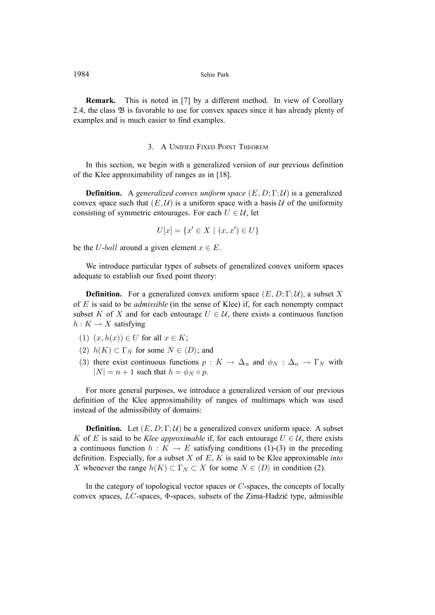1984 Sehie Park

**Remark.** This is noted in [7] by a different method. In view of Corollary 2.4, the class B is favorable to use for convex spaces since it has already plenty of examples and is much easier to find examples.

## 3. A UNIFIED FIXED POINT THEOREM

In this section, we begin with a generalized version of our previous definition of the Klee approximability of ranges as in [18].

**Definition.** A *generalized convex uniform space*  $(E, D; \Gamma; \mathcal{U})$  is a generalized convex space such that  $(E, U)$  is a uniform space with a basis U of the uniformity consisting of symmetric entourages. For each  $U \in \mathcal{U}$ , let

$$
U[x] = \{x' \in X \mid (x, x') \in U\}
$$

be the U-ball around a given element  $x \in E$ .

We introduce particular types of subsets of generalized convex uniform spaces adequate to establish our fixed point theory:

**Definition.** For a generalized convex uniform space  $(E, D; \Gamma; \mathcal{U})$ , a subset X of E is said to be *admissible* (in the sense of Klee) if, for each nonempty compact subset K of X and for each entourage  $U \in \mathcal{U}$ , there exists a continuous function  $h: K \to X$  satisfying

- (1)  $(x, h(x)) \in U$  for all  $x \in K$ ;
- (2)  $h(K) \subset \Gamma_N$  for some  $N \in \langle D \rangle$ ; and
- (3) there exist continuous functions  $p: K \to \Delta_n$  and  $\phi_N: \Delta_n \to \Gamma_N$  with  $|N| = n + 1$  such that  $h = \phi_N \circ p$ .

For more general purposes, we introduce a generalized version of our previous definition of the Klee approximability of ranges of multimaps which was used instead of the admissibility of domains:

**Definition.** Let  $(E, D; \Gamma; \mathcal{U})$  be a generalized convex uniform space. A subset K of E is said to be *Klee approximable* if, for each entourage  $U \in \mathcal{U}$ , there exists a continuous function  $h : K \to E$  satisfying conditions (1)-(3) in the preceding definition. Especially, for a subset X of E, K is said to be Klee approximable *into* X whenever the range  $h(K) \subset \Gamma_N \subset X$  for some  $N \in \langle D \rangle$  in condition (2).

In the category of topological vector spaces or  $C$ -spaces, the concepts of locally convex spaces,  $LC$ -spaces,  $\Phi$ -spaces, subsets of the Zima-Hadzić type, admissible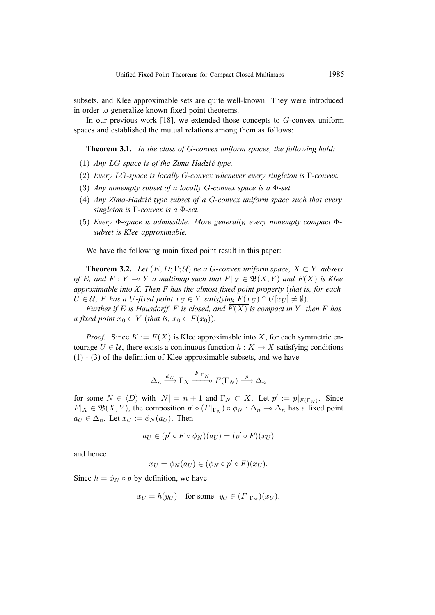subsets, and Klee approximable sets are quite well-known. They were introduced in order to generalize known fixed point theorems.

In our previous work  $[18]$ , we extended those concepts to  $G$ -convex uniform spaces and established the mutual relations among them as follows:

**Theorem 3.1.** *In the class of* G*-convex uniform spaces, the following hold:*

- (1) *Any* LG*-space is of the Zima-Hadzic type. ´*
- (2) *Every* LG*-space is locally* G*-convex whenever every singleton is* Γ*-convex.*
- (3) *Any nonempty subset of a locally* G*-convex space is a* Φ*-set.*
- (4) *Any Zima-Hadzic type subset of a ´* G*-convex uniform space such that every singleton is* Γ*-convex is a* Φ*-set.*
- (5) *Every* Φ*-space is admissible. More generally, every nonempty compact* Φ*subset is Klee approximable.*

We have the following main fixed point result in this paper:

**Theorem 3.2.** *Let*  $(E, D; \Gamma; \mathcal{U})$  *be a G-convex uniform space,*  $X \subset Y$  *subsets of* E, and  $F: Y \to Y$  a multimap such that  $F|_X \in \mathfrak{B}(X, Y)$  and  $F(X)$  is Klee *approximable into X. Then F has the almost fixed point property* (*that is, for each*  $U$  ∈  $U$ *, F* has a U-fixed point  $x_U$  ∈ Y satisfying  $F(x_U) \cap U[x_U] \neq \emptyset$ ).

*Further if* E *is Hausdorff,* F *is closed, and*  $\overline{F(X)}$  *is compact in* Y, then F has *a fixed point*  $x_0 \in Y$  (*that is,*  $x_0 \in F(x_0)$ ).

*Proof.* Since  $K := F(X)$  is Klee approximable into X, for each symmetric entourage  $U \in \mathcal{U}$ , there exists a continuous function  $h: K \to X$  satisfying conditions (1) - (3) of the definition of Klee approximable subsets, and we have

$$
\Delta_n \xrightarrow{\phi_N} \Gamma_N \xrightarrow{F|_{\Gamma_N}} F(\Gamma_N) \xrightarrow{p} \Delta_n
$$

for some  $N \in \langle D \rangle$  with  $|N| = n + 1$  and  $\Gamma_N \subset X$ . Let  $p' := p|_{F(\Gamma_N)}$ . Since  $F|_X \in \mathfrak{B}(X,Y)$ , the composition  $p' \circ (F|_{\Gamma_N}) \circ \phi_N : \Delta_n \to \Delta_n$  has a fixed point  $a_U \in \Delta_n$ . Let  $x_U := \phi_N(a_U)$ . Then

$$
a_U \in (p' \circ F \circ \phi_N)(a_U) = (p' \circ F)(x_U)
$$

and hence

$$
x_U = \phi_N(a_U) \in (\phi_N \circ p' \circ F)(x_U).
$$

Since  $h = \phi_N \circ p$  by definition, we have

$$
x_U = h(y_U)
$$
 for some  $y_U \in (F|_{\Gamma_N})(x_U)$ .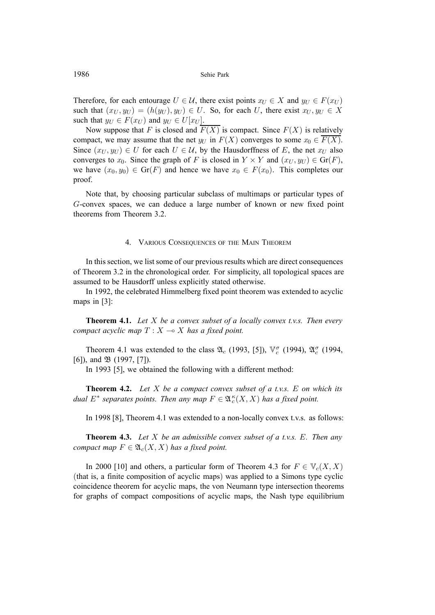Therefore, for each entourage  $U \in \mathcal{U}$ , there exist points  $x_U \in X$  and  $y_U \in F(x_U)$ such that  $(x_U, y_U) = (h(y_U), y_U) \in U$ . So, for each U, there exist  $x_U, y_U \in X$ such that  $y_U \in F(x_U)$  and  $y_U \in U[x_U]$ .

Now suppose that F is closed and  $\overline{F(X)}$  is compact. Since  $F(X)$  is relatively compact, we may assume that the net  $y_U$  in  $F(X)$  converges to some  $x_0 \in \overline{F(X)}$ . Since  $(x_U, y_U) \in U$  for each  $U \in \mathcal{U}$ , by the Hausdorffness of E, the net  $x_U$  also converges to  $x_0$ . Since the graph of F is closed in  $Y \times Y$  and  $(x_U, y_U) \in Gr(F)$ , we have  $(x_0, y_0) \in \text{Gr}(F)$  and hence we have  $x_0 \in F(x_0)$ . This completes our proof.

Note that, by choosing particular subclass of multimaps or particular types of G-convex spaces, we can deduce a large number of known or new fixed point theorems from Theorem 3.2.

## 4. VARIOUS CONSEQUENCES OF THE MAIN THEOREM

In this section, we list some of our previous results which are direct consequences of Theorem 3.2 in the chronological order. For simplicity, all topological spaces are assumed to be Hausdorff unless explicitly stated otherwise.

In 1992, the celebrated Himmelberg fixed point theorem was extended to acyclic maps in [3]:

**Theorem 4.1.** *Let* X *be a convex subset of a locally convex t.v.s. Then every compact acyclic map*  $T : X \rightarrow X$  *has a fixed point.* 

Theorem 4.1 was extended to the class  $\mathfrak{A}_c$  (1993, [5]),  $\mathbb{V}_c^{\sigma}$  (1994),  $\mathfrak{A}_c^{\sigma}$  (1994, [6]), and  $\mathfrak{B}$  (1997, [7]).

In 1993 [5], we obtained the following with a different method:

**Theorem 4.2.** *Let* X *be a compact convex subset of a t.v.s.* E *on which its dual*  $E^*$  *separates points. Then any map*  $F \in \mathfrak{A}_c^{\kappa}(X, X)$  *has a fixed point.* 

In 1998 [8], Theorem 4.1 was extended to a non-locally convex t.v.s. as follows:

**Theorem 4.3.** *Let* X *be an admissible convex subset of a t.v.s.* E*. Then any compact map*  $F \in \mathfrak{A}_c(X,X)$  *has a fixed point.* 

In 2000 [10] and others, a particular form of Theorem 4.3 for  $F \in \mathbb{V}_c(X,X)$ (that is, a finite composition of acyclic maps) was applied to a Simons type cyclic coincidence theorem for acyclic maps, the von Neumann type intersection theorems for graphs of compact compositions of acyclic maps, the Nash type equilibrium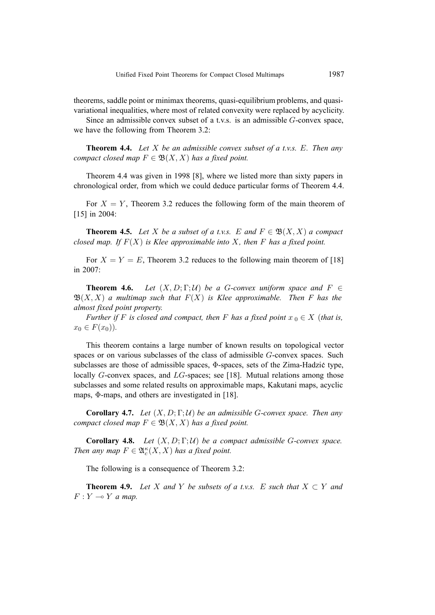theorems, saddle point or minimax theorems, quasi-equilibrium problems, and quasivariational inequalities, where most of related convexity were replaced by acyclicity.

Since an admissible convex subset of a t.v.s. is an admissible G-convex space, we have the following from Theorem 3.2:

**Theorem 4.4.** *Let* X *be an admissible convex subset of a t.v.s.* E*. Then any compact closed map*  $F \in \mathfrak{B}(X,X)$  *has a fixed point.* 

Theorem 4.4 was given in 1998 [8], where we listed more than sixty papers in chronological order, from which we could deduce particular forms of Theorem 4.4.

For  $X = Y$ , Theorem 3.2 reduces the following form of the main theorem of [15] in 2004:

**Theorem 4.5.** *Let* X *be a subset of a t.v.s. E and*  $F \in \mathfrak{B}(X,X)$  *a compact closed map. If* F(X) *is Klee approximable into* X*, then* F *has a fixed point.*

For  $X = Y = E$ , Theorem 3.2 reduces to the following main theorem of [18] in 2007:

**Theorem 4.6.** *Let*  $(X, D; \Gamma; \mathcal{U})$  *be a G-convex uniform space and*  $F \in$  $\mathfrak{B}(X, X)$  *a multimap such that*  $F(X)$  *is Klee approximable. Then* F has the *almost fixed point property.*

*Further if* F *is closed and compact, then* F *has a fixed point*  $x_0 \in X$  (*that is,*  $x_0 \in F(x_0)$ .

This theorem contains a large number of known results on topological vector spaces or on various subclasses of the class of admissible G-convex spaces. Such subclasses are those of admissible spaces,  $\Phi$ -spaces, sets of the Zima-Hadzic type, locally G-convex spaces, and LG-spaces; see [18]. Mutual relations among those subclasses and some related results on approximable maps, Kakutani maps, acyclic maps, Φ-maps, and others are investigated in [18].

**Corollary 4.7.** *Let* (X, D; Γ; U) *be an admissible* G*-convex space. Then any compact closed map*  $F \in \mathfrak{B}(X,X)$  *has a fixed point.* 

**Corollary 4.8.** *Let* (X, D; Γ; U) *be a compact admissible* G*-convex space. Then any map*  $F \in \mathfrak{A}_{c}^{\kappa}(X, X)$  *has a fixed point.* 

The following is a consequence of Theorem 3.2:

**Theorem 4.9.** *Let* X and Y *be subsets of a t.v.s.* E *such that*  $X \subset Y$  *and*  $F: Y \longrightarrow Y$  *a map.*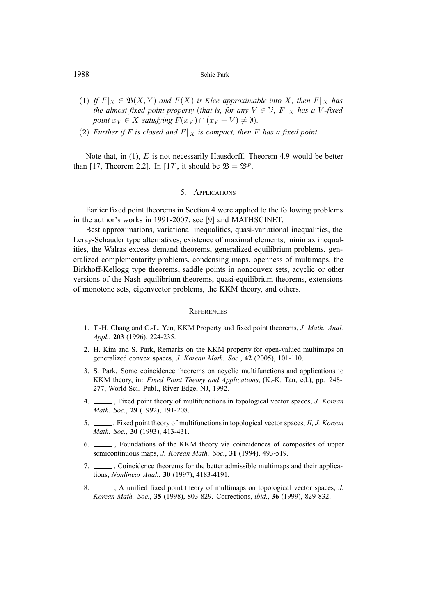#### 1988 Sehie Park

- (1) *If*  $F|_X \in \mathfrak{B}(X, Y)$  *and*  $F(X)$  *is Klee approximable into* X, *then*  $F|_X$  *has the almost fixed point property (that is, for any*  $V \in V$ ,  $F|_X$  *has a* V-fixed *point*  $x_V \in X$  *satisfying*  $F(x_V) \cap (x_V + V) \neq \emptyset$ *).*
- (2) *Further if F is closed and*  $F|_X$  *is compact, then* F *has a fixed point.*

Note that, in (1), E is not necessarily Hausdorff. Theorem 4.9 would be better than [17, Theorem 2.2]. In [17], it should be  $\mathfrak{B} = \mathfrak{B}^p$ .

#### 5. APPLICATIONS

Earlier fixed point theorems in Section 4 were applied to the following problems in the author's works in 1991-2007; see [9] and MATHSCINET.

Best approximations, variational inequalities, quasi-variational inequalities, the Leray-Schauder type alternatives, existence of maximal elements, minimax inequalities, the Walras excess demand theorems, generalized equilibrium problems, generalized complementarity problems, condensing maps, openness of multimaps, the Birkhoff-Kellogg type theorems, saddle points in nonconvex sets, acyclic or other versions of the Nash equilibrium theorems, quasi-equilibrium theorems, extensions of monotone sets, eigenvector problems, the KKM theory, and others.

#### **REFERENCES**

- 1. T.-H. Chang and C.-L. Yen, KKM Property and fixed point theorems, *J. Math. Anal. Appl.*, **203** (1996), 224-235.
- 2. H. Kim and S. Park, Remarks on the KKM property for open-valued multimaps on generalized convex spaces, *J. Korean Math. Soc.*, **42** (2005), 101-110.
- 3. S. Park, Some coincidence theorems on acyclic multifunctions and applications to KKM theory, in: *Fixed Point Theory and Applications*, (K.-K. Tan, ed.), pp. 248- 277, World Sci. Publ., River Edge, NJ, 1992.
- 4. , Fixed point theory of multifunctions in topological vector spaces, *J. Korean Math. Soc.*, **29** (1992), 191-208.
- 5. , Fixed point theory of multifunctions in topological vector spaces, *II, J. Korean Math. Soc.*, **30** (1993), 413-431.
- 6.  $\sim$ , Foundations of the KKM theory via coincidences of composites of upper semicontinuous maps, *J. Korean Math. Soc.*, **31** (1994), 493-519.
- 7. , Coincidence theorems for the better admissible multimaps and their applications, *Nonlinear Anal.*, **30** (1997), 4183-4191.
- 8.  $\ldots$ , A unified fixed point theory of multimaps on topological vector spaces, *J. Korean Math. Soc.*, **35** (1998), 803-829. Corrections, *ibid.*, **36** (1999), 829-832.